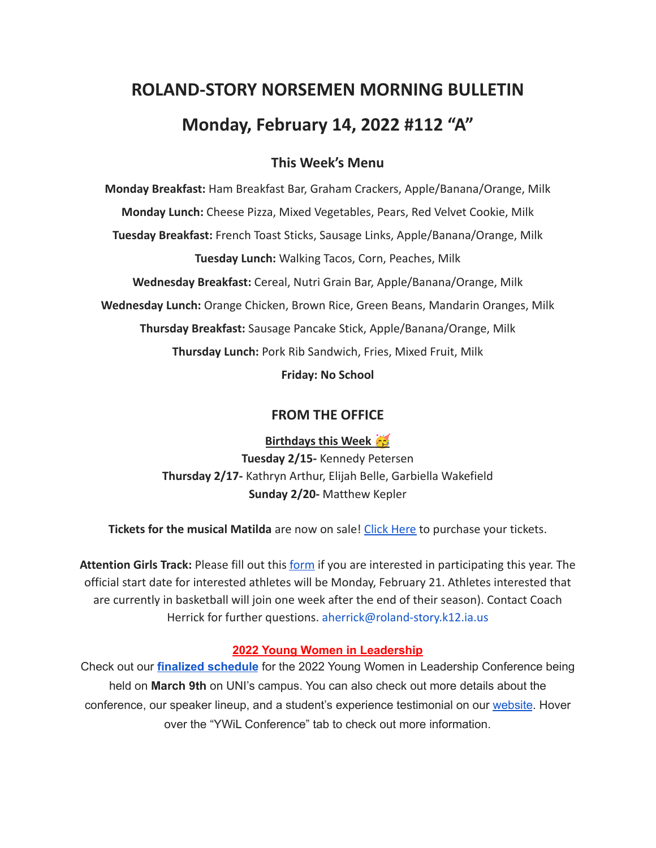# **ROLAND-STORY NORSEMEN MORNING BULLETIN Monday, February 14, 2022 #112 "A"**

# **This Week's Menu**

**Monday Breakfast:** Ham Breakfast Bar, Graham Crackers, Apple/Banana/Orange, Milk **Monday Lunch:** Cheese Pizza, Mixed Vegetables, Pears, Red Velvet Cookie, Milk **Tuesday Breakfast:** French Toast Sticks, Sausage Links, Apple/Banana/Orange, Milk **Tuesday Lunch:** Walking Tacos, Corn, Peaches, Milk **Wednesday Breakfast:** Cereal, Nutri Grain Bar, Apple/Banana/Orange, Milk **Wednesday Lunch:** Orange Chicken, Brown Rice, Green Beans, Mandarin Oranges, Milk **Thursday Breakfast:** Sausage Pancake Stick, Apple/Banana/Orange, Milk **Thursday Lunch:** Pork Rib Sandwich, Fries, Mixed Fruit, Milk

**Friday: No School**

# **FROM THE OFFICE**

# **Birthdays this Week**

**Tuesday 2/15-** Kennedy Petersen **Thursday 2/17-** Kathryn Arthur, Elijah Belle, Garbiella Wakefield **Sunday 2/20-** Matthew Kepler

**Tickets for the musical Matilda** are now on sale! Click [Here](https://events.ticketspicket.com/agency/a61f75f7-997a-4241-b0ab-0eae5600323f) to purchase your tickets.

**Attention Girls Track:** Please fill out this [form](https://forms.gle/DP81ofVAkQ73dqcBA) if you are interested in participating this year. The official start date for interested athletes will be Monday, February 21. Athletes interested that are currently in basketball will join one week after the end of their season). Contact Coach Herrick for further questions. aherrick@roland-story.k12.ia.us

#### **2022 Young Women in Leadership**

Check out our **finalized [schedule](http://www.uniwomeninbusiness.com/ywil-schedule.html)** for the 2022 Young Women in Leadership Conference being held on **March 9th** on UNI's campus. You can also check out more details about the conference, our speaker lineup, and a student's experience testimonial on our [website](http://www.uniwomeninbusiness.com/ywil-conference.html). Hover over the "YWiL Conference" tab to check out more information.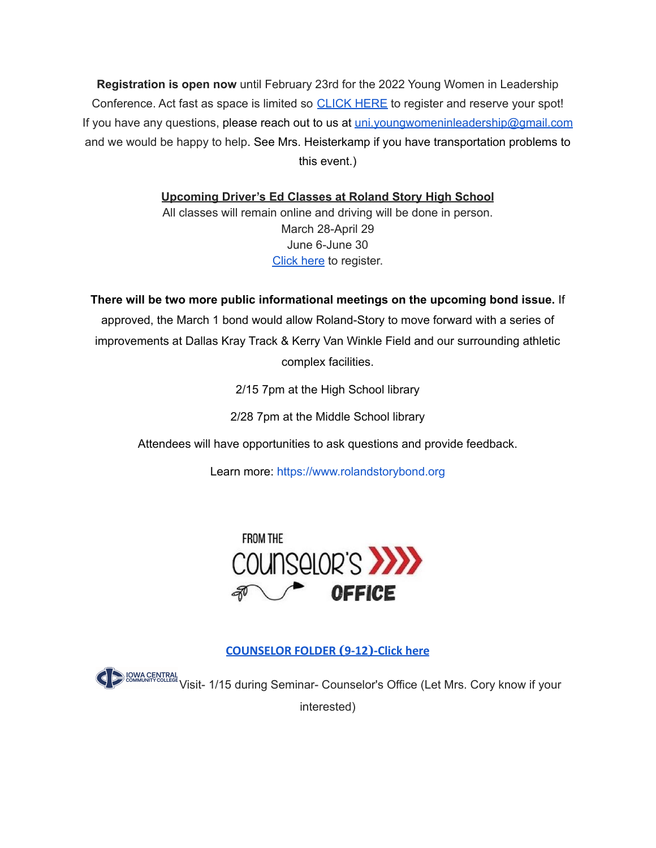**Registration is open now** until February 23rd for the 2022 Young Women in Leadership Conference. Act fast as space is limited so [CLICK](https://event.formdash.org/2022/ywil/) HERE to register and reserve your spot! If you have any questions, please reach out to us at uni.youngwomeninleadership@gmail.com and we would be happy to help. See Mrs. Heisterkamp if you have transportation problems to this event.)

**Upcoming Driver's Ed Classes at Roland Story High School**

All classes will remain online and driving will be done in person. March 28-April 29 June 6-June 30 [Click](http://streetsmartsdriversed.com/) here to register.

**There will be two more public informational meetings on the upcoming bond issue.** If approved, the March 1 bond would allow Roland-Story to move forward with a series of improvements at Dallas Kray Track & Kerry Van Winkle Field and our surrounding athletic complex facilities.

2/15 7pm at the High School library

2/28 7pm at the Middle School library

Attendees will have opportunities to ask questions and provide feedback.

Learn more: [https://www.rolandstorybond.org](https://www.rolandstorybond.org/?fbclid=IwAR3AJHhy8S8KvQsof-Z44UTrIBXDkOZFSdMyUXMovrg0bH3FkvkTprNkFuM)



**[COUNSELOR FOLDER](https://docs.google.com/document/d/1vmwczNPbDzXe9vFaG5LJMQ7NYDv-i4oQJHybqA65TUc/edit?usp=sharing) (9-12)-Click here**

**VISITE AND A CENTRAL Visit- 1/15 during Seminar- Counselor's Office (Let Mrs. Cory know if your** 

interested)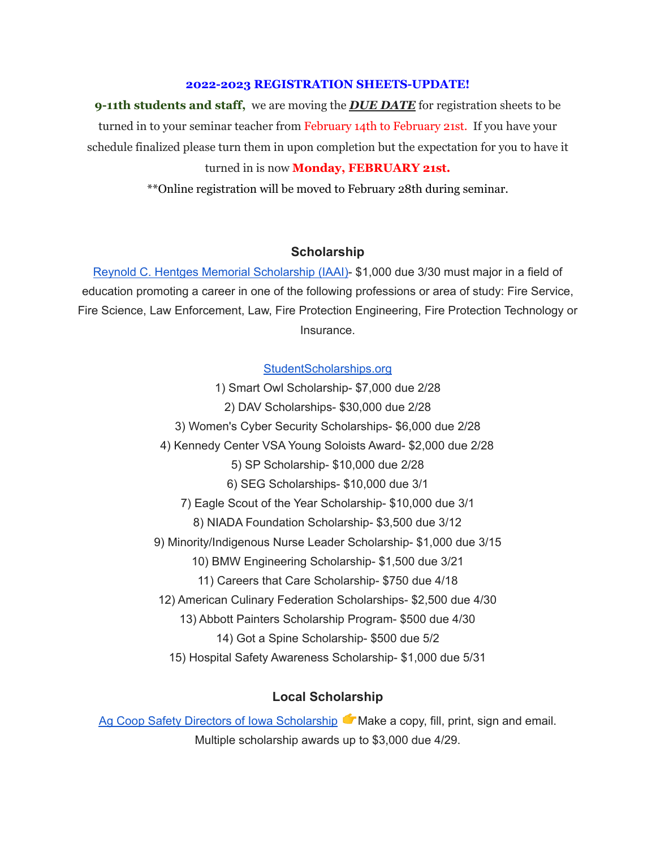#### **2022-2023 REGISTRATION SHEETS-UPDATE!**

**9-11th students and staff,** we are moving the *DUE DATE* for registration sheets to be turned in to your seminar teacher from February 14th to February 21st. If you have your schedule finalized please turn them in upon completion but the expectation for you to have it turned in is now **Monday, FEBRUARY 21st.**

\*\*Online registration will be moved to February 28th during seminar.

#### **Scholarship**

Reynold C. Hentges Memorial [Scholarship](https://drive.google.com/file/d/1hjWI_srze5__tTjHVbJ5z3zd1-S63qlS/view?usp=sharing) (IAAI)- \$1,000 due 3/30 must major in a field of education promoting a career in one of the following professions or area of study: Fire Service, Fire Science, Law Enforcement, Law, Fire Protection Engineering, Fire Protection Technology or Insurance.

#### [StudentScholarships.org](https://drive.google.com/file/d/1hV3dZAuh9FIeLf132rgQi86QgS7AQzZD/view?usp=sharing)

1) Smart Owl Scholarship- \$7,000 due 2/28 2) DAV Scholarships- \$30,000 due 2/28 3) Women's Cyber Security Scholarships- \$6,000 due 2/28 4) Kennedy Center VSA Young Soloists Award- \$2,000 due 2/28 5) SP Scholarship- \$10,000 due 2/28 6) SEG Scholarships- \$10,000 due 3/1 7) Eagle Scout of the Year Scholarship- \$10,000 due 3/1 8) NIADA Foundation Scholarship- \$3,500 due 3/12 9) Minority/Indigenous Nurse Leader Scholarship- \$1,000 due 3/15 10) BMW Engineering Scholarship- \$1,500 due 3/21 11) Careers that Care Scholarship- \$750 due 4/18 12) American Culinary Federation Scholarships- \$2,500 due 4/30 13) Abbott Painters Scholarship Program- \$500 due 4/30 14) Got a Spine Scholarship- \$500 due 5/2

15) Hospital Safety Awareness Scholarship- \$1,000 due 5/31

# **Local Scholarship**

Ag Coop Safety Directors of Iowa [Scholarship](https://drive.google.com/file/d/1wX3l1X88nHo4DZaVPAlq49FzsUtMJSWh/view?usp=sharing) Make a copy, fill, print, sign and email. Multiple scholarship awards up to \$3,000 due 4/29.